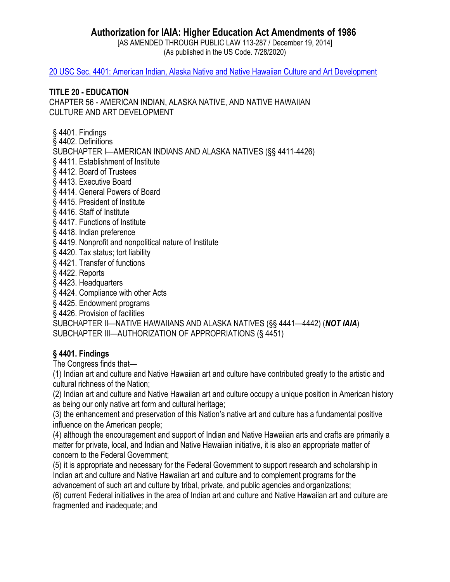# **Authorization for IAIA: Higher Education Act Amendments of 1986**

[AS AMENDED THROUGH PUBLIC LAW 113-287 / December 19, 2014] (As published in the US Code. 7/28/2020)

20 USC Sec. [4401: American Indian, Alaska Native and Native Hawaiian Culture and Art Development](https://uscode.house.gov/view.xhtml?path=/prelim@title20/chapter56&edition=prelim)

#### **TITLE 20 - EDUCATION**

CHAPTER 56 - AMERICAN INDIAN, ALASKA NATIVE, AND NATIVE HAWAIIAN CULTURE AND ART DEVELOPMENT

[§ 4401. F](http://www.law.cornell.edu/uscode/html/uscode20/usc_sec_20_00004401----000-.html)indings

[§ 4402. D](http://www.law.cornell.edu/uscode/html/uscode20/usc_sec_20_00004402----000-.html)efinitions

SUBCHAPTER I—AMERICAN INDIANS AND ALASKA NATIVES (§§ 4411-4426)

- [§ 4411. E](http://www.law.cornell.edu/uscode/html/uscode20/usc_sec_20_00004411----000-.html)stablishment of Institute
- [§ 4412. B](http://www.law.cornell.edu/uscode/html/uscode20/usc_sec_20_00004412----000-.html)oard of Trustees
- [§ 4413. E](http://www.law.cornell.edu/uscode/html/uscode20/usc_sec_20_00004413----000-.html)xecutive Board
- [§ 4414. G](http://www.law.cornell.edu/uscode/html/uscode20/usc_sec_20_00004414----000-.html)eneral Powers of Board
- [§ 4415. P](http://www.law.cornell.edu/uscode/html/uscode20/usc_sec_20_00004415----000-.html)resident of Institute
- [§ 4416. S](http://www.law.cornell.edu/uscode/html/uscode20/usc_sec_20_00004416----000-.html)taff of Institute
- [§ 4417. F](http://www.law.cornell.edu/uscode/html/uscode20/usc_sec_20_00004417----000-.html)unctions of Institute
- [§ 4418. I](http://www.law.cornell.edu/uscode/html/uscode20/usc_sec_20_00004418----000-.html)ndian preference
- [§ 4419. N](http://www.law.cornell.edu/uscode/html/uscode20/usc_sec_20_00004419----000-.html)onprofit and nonpolitical nature of Institute
- [§ 4420. T](http://www.law.cornell.edu/uscode/html/uscode20/usc_sec_20_00004420----000-.html)ax status; tort liability
- [§ 4421. T](http://www.law.cornell.edu/uscode/html/uscode20/usc_sec_20_00004421----000-.html)ransfer of functions
- [§ 4422. R](http://www.law.cornell.edu/uscode/html/uscode20/usc_sec_20_00004422----000-.html)eports
- [§ 4423. H](http://www.law.cornell.edu/uscode/html/uscode20/usc_sec_20_00004423----000-.html)eadquarters
- [§ 4424. C](http://www.law.cornell.edu/uscode/html/uscode20/usc_sec_20_00004424----000-.html)ompliance with other Acts
- [§ 4425. E](http://www.law.cornell.edu/uscode/html/uscode20/usc_sec_20_00004425----000-.html)ndowment programs
- [§ 4426. P](http://www.law.cornell.edu/uscode/html/uscode20/usc_sec_20_00004426----000-.html)rovision of facilities

[SUBCHAPTER II](http://www.law.cornell.edu/uscode/html/uscode20/usc_sup_01_20_10_56_30_II.html)—NATIVE HAWAIIANS AND ALASKA NATIVES (§§ 4441—4442) (*NOT IAIA*) [SUBCHAPTER III](http://www.law.cornell.edu/uscode/html/uscode20/usc_sup_01_20_10_56_30_III.html)—AUTHORIZATION OF APPROPRIATIONS (§ 4451)

### **§ 4401. Findings**

The Congress finds that—

(1) Indian art and culture and Native Hawaiian art and culture have contributed greatly to the artistic and cultural richness of the Nation;

(2) Indian art and culture and Native Hawaiian art and culture occupy a unique position in American history as being our only native art form and cultural heritage;

(3) the enhancement and preservation of this Nation's native art and culture has a fundamental positive influence on the American people;

(4) although the encouragement and support of Indian and Native Hawaiian arts and crafts are primarily a matter for private, local, and Indian and Native Hawaiian initiative, it is also an appropriate matter of concern to the Federal Government;

(5) it is appropriate and necessary for the Federal Government to support research and scholarship in Indian art and culture and Native Hawaiian art and culture and to complement programs for the advancement of such art and culture by tribal, private, and public agencies and organizations;

(6) current Federal initiatives in the area of Indian art and culture and Native Hawaiian art and culture are fragmented and inadequate; and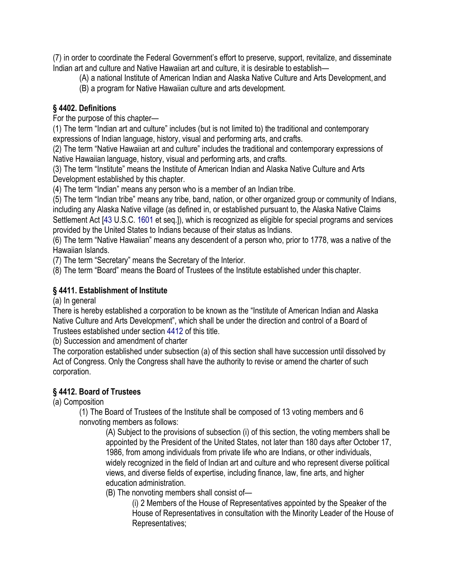(7) in order to coordinate the Federal Government's effort to preserve, support, revitalize, and disseminate Indian art and culture and Native Hawaiian art and culture, it is desirable to establish—

(A) a national Institute of American Indian and Alaska Native Culture and Arts Development, and

(B) a program for Native Hawaiian culture and arts development.

### **§ 4402. Definitions**

For the purpose of this chapter—

(1) The term "Indian art and culture" includes (but is not limited to) the traditional and contemporary expressions of Indian language, history, visual and performing arts, and crafts.

(2) The term "Native Hawaiian art and culture" includes the traditional and contemporary expressions of Native Hawaiian language, history, visual and performing arts, and crafts.

(3) The term "Institute" means the Institute of American Indian and Alaska Native Culture and Arts Development established by this chapter.

(4) The term "Indian" means any person who is a member of an Indian tribe.

(5) The term "Indian tribe" means any tribe, band, nation, or other organized group or community of Indians, including any Alaska Native village (as defined in, or established pursuant to, the Alaska Native Claims Settlement Act [\[43 U](http://www.law.cornell.edu/uscode/html/uscode43/usc_sup_01_43.html).S.C. [1601 e](http://www.law.cornell.edu/uscode/html/uscode43/usc_sec_43_00001601----000-.html)t seq.]), which is recognized as eligible for special programs and services provided by the United States to Indians because of their status as Indians.

(6) The term "Native Hawaiian" means any descendent of a person who, prior to 1778, was a native of the Hawaiian Islands.

(7) The term "Secretary" means the Secretary of the Interior.

(8) The term "Board" means the Board of Trustees of the Institute established under this chapter.

#### **§ 4411. Establishment of Institute**

(a) In general

There is hereby established a corporation to be known as the "Institute of American Indian and Alaska Native Culture and Arts Development", which shall be under the direction and control of a Board of Trustees established under section [4412 o](http://www.law.cornell.edu/uscode/html/uscode20/usc_sec_20_00004412----000-.html)f this title.

(b) Succession and amendment of charter

The corporation established under subsection (a) of this section shall have succession until dissolved by Act of Congress. Only the Congress shall have the authority to revise or amend the charter of such corporation.

### **§ 4412. Board of Trustees**

(a) Composition

(1) The Board of Trustees of the Institute shall be composed of 13 voting members and 6 nonvoting members as follows:

(A) Subject to the provisions of subsection (i) of this section, the voting members shall be appointed by the President of the United States, not later than 180 days after October 17, 1986, from among individuals from private life who are Indians, or other individuals, widely recognized in the field of Indian art and culture and who represent diverse political views, and diverse fields of expertise, including finance, law, fine arts, and higher education administration.

(B) The nonvoting members shall consist of—

(i) 2 Members of the House of Representatives appointed by the Speaker of the House of Representatives in consultation with the Minority Leader of the House of Representatives;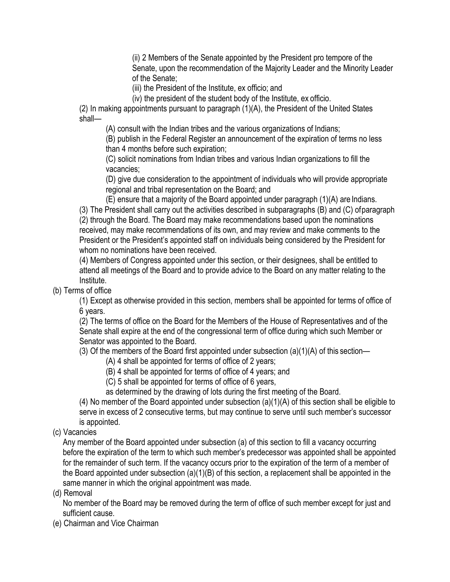(ii) 2 Members of the Senate appointed by the President pro tempore of the Senate, upon the recommendation of the Majority Leader and the Minority Leader of the Senate;

(iii) the President of the Institute, ex officio; and

(iv) the president of the student body of the Institute, ex officio.

(2) In making appointments pursuant to paragraph (1)(A), the President of the United States shall—

(A) consult with the Indian tribes and the various organizations of Indians;

(B) publish in the Federal Register an announcement of the expiration of terms no less than 4 months before such expiration;

(C) solicit nominations from Indian tribes and various Indian organizations to fill the vacancies;

(D) give due consideration to the appointment of individuals who will provide appropriate regional and tribal representation on the Board; and

(E) ensure that a majority of the Board appointed under paragraph (1)(A) are Indians.

(3) The President shall carry out the activities described in subparagraphs (B) and (C) ofparagraph (2) through the Board. The Board may make recommendations based upon the nominations received, may make recommendations of its own, and may review and make comments to the President or the President's appointed staff on individuals being considered by the President for whom no nominations have been received.

(4) Members of Congress appointed under this section, or their designees, shall be entitled to attend all meetings of the Board and to provide advice to the Board on any matter relating to the Institute.

(b) Terms of office

(1) Except as otherwise provided in this section, members shall be appointed for terms of office of 6 years.

(2) The terms of office on the Board for the Members of the House of Representatives and of the Senate shall expire at the end of the congressional term of office during which such Member or Senator was appointed to the Board.

(3) Of the members of the Board first appointed under subsection  $(a)(1)(A)$  of this section—

(A) 4 shall be appointed for terms of office of 2 years;

(B) 4 shall be appointed for terms of office of 4 years; and

(C) 5 shall be appointed for terms of office of 6 years,

as determined by the drawing of lots during the first meeting of the Board.

(4) No member of the Board appointed under subsection (a)(1)(A) of this section shall be eligible to serve in excess of 2 consecutive terms, but may continue to serve until such member's successor is appointed.

(c) Vacancies

Any member of the Board appointed under subsection (a) of this section to fill a vacancy occurring before the expiration of the term to which such member's predecessor was appointed shall be appointed for the remainder of such term. If the vacancy occurs prior to the expiration of the term of a member of the Board appointed under subsection (a)(1)(B) of this section, a replacement shall be appointed in the same manner in which the original appointment was made.

(d) Removal

No member of the Board may be removed during the term of office of such member except for just and sufficient cause.

(e) Chairman and Vice Chairman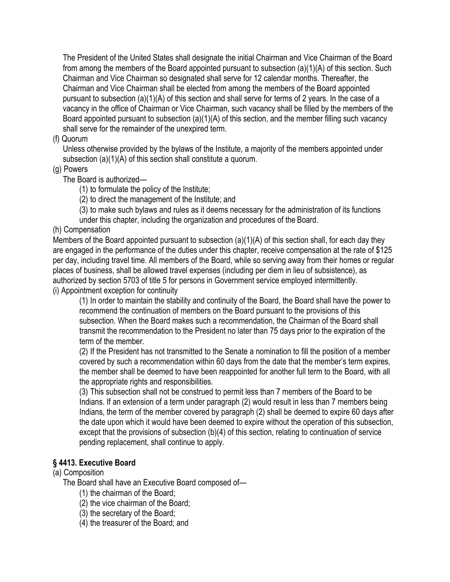The President of the United States shall designate the initial Chairman and Vice Chairman of the Board from among the members of the Board appointed pursuant to subsection (a)(1)(A) of this section. Such Chairman and Vice Chairman so designated shall serve for 12 calendar months. Thereafter, the Chairman and Vice Chairman shall be elected from among the members of the Board appointed pursuant to subsection (a)(1)(A) of this section and shall serve for terms of 2 years. In the case of a vacancy in the office of Chairman or Vice Chairman, such vacancy shall be filled by the members of the Board appointed pursuant to subsection (a)(1)(A) of this section, and the member filling such vacancy shall serve for the remainder of the unexpired term.

(f) Quorum

Unless otherwise provided by the bylaws of the Institute, a majority of the members appointed under subsection (a)(1)(A) of this section shall constitute a quorum.

(g) Powers

The Board is authorized—

(1) to formulate the policy of the Institute;

(2) to direct the management of the Institute; and

(3) to make such bylaws and rules as it deems necessary for the administration of its functions

under this chapter, including the organization and procedures of the Board.

### (h) Compensation

Members of the Board appointed pursuant to subsection (a)(1)(A) of this section shall, for each day they are engaged in the performance of the duties under this chapter, receive compensation at the rate of \$125 per day, including travel time. All members of the Board, while so serving away from their homes or regular places of business, shall be allowed travel expenses (including per diem in lieu of subsistence), as authorized by section [5703 o](http://www.law.cornell.edu/uscode/html/uscode05/usc_sec_05_00005703----000-.html)f title [5 f](http://www.law.cornell.edu/uscode/html/uscode05/usc_sup_01_5.html)or persons in Government service employed intermittently. (i) Appointment exception for continuity

(1) In order to maintain the stability and continuity of the Board, the Board shall have the power to recommend the continuation of members on the Board pursuant to the provisions of this subsection. When the Board makes such a recommendation, the Chairman of the Board shall transmit the recommendation to the President no later than 75 days prior to the expiration of the term of the member.

(2) If the President has not transmitted to the Senate a nomination to fill the position of a member covered by such a recommendation within 60 days from the date that the member's term expires, the member shall be deemed to have been reappointed for another full term to the Board, with all the appropriate rights and responsibilities.

(3) This subsection shall not be construed to permit less than 7 members of the Board to be Indians. If an extension of a term under paragraph (2) would result in less than 7 members being Indians, the term of the member covered by paragraph (2) shall be deemed to expire 60 days after the date upon which it would have been deemed to expire without the operation of this subsection, except that the provisions of subsection (b)(4) of this section, relating to continuation of service pending replacement, shall continue to apply.

### **§ 4413. Executive Board**

#### (a) Composition

The Board shall have an Executive Board composed of—

(1) the chairman of the Board;

(2) the vice chairman of the Board;

(3) the secretary of the Board;

(4) the treasurer of the Board; and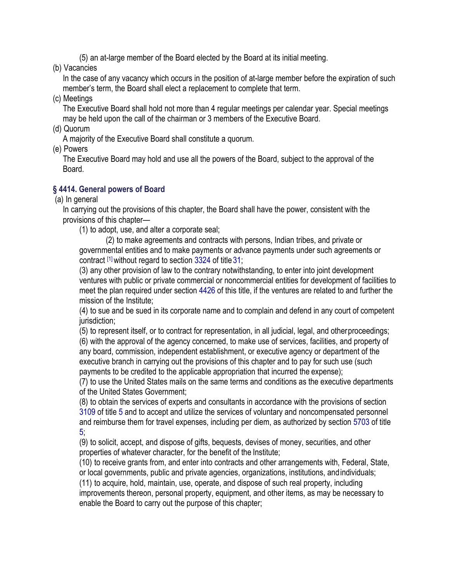(5) an at-large member of the Board elected by the Board at its initial meeting.

(b) Vacancies

In the case of any vacancy which occurs in the position of at-large member before the expiration of such member's term, the Board shall elect a replacement to complete that term.

(c) Meetings

The Executive Board shall hold not more than 4 regular meetings per calendar year. Special meetings may be held upon the call of the chairman or 3 members of the Executive Board.

(d) Quorum

A majority of the Executive Board shall constitute a quorum.

(e) Powers

The Executive Board may hold and use all the powers of the Board, subject to the approval of the Board.

### **§ 4414. General powers of Board**

(a) In general

In carrying out the provisions of this chapter, the Board shall have the power, consistent with the provisions of this chapter—

(1) to adopt, use, and alter a corporate seal;

(2) to make agreements and contracts with persons, Indian tribes, and private or governmental entities and to make payments or advance payments under such agreements or contract [\[1\]](http://www.law.cornell.edu/uscode/html/uscode20/usc_sec_20_00004414----000-.html#FN-1) without regard to section [3324 o](http://www.law.cornell.edu/uscode/html/uscode31/usc_sec_31_00003324----000-.html)f title [31;](http://www.law.cornell.edu/uscode/html/uscode31/usc_sup_01_31.html)

(3) any other provision of law to the contrary notwithstanding, to enter into joint development ventures with public or private commercial or noncommercial entities for development of facilities to meet the plan required under section [4426 o](http://www.law.cornell.edu/uscode/html/uscode20/usc_sec_20_00004426----000-.html)f this title, if the ventures are related to and further the mission of the Institute;

(4) to sue and be sued in its corporate name and to complain and defend in any court of competent jurisdiction:

(5) to represent itself, or to contract for representation, in all judicial, legal, and otherproceedings; (6) with the approval of the agency concerned, to make use of services, facilities, and property of any board, commission, independent establishment, or executive agency or department of the executive branch in carrying out the provisions of this chapter and to pay for such use (such payments to be credited to the applicable appropriation that incurred the expense);

(7) to use the United States mails on the same terms and conditions as the executive departments of the United States Government;

(8) to obtain the services of experts and consultants in accordance with the provisions of section [3109 o](http://www.law.cornell.edu/uscode/html/uscode05/usc_sec_05_00003109----000-.html)f title [5 a](http://www.law.cornell.edu/uscode/html/uscode05/usc_sup_01_5.html)nd to accept and utilize the services of voluntary and noncompensated personnel and reimburse them for travel expenses, including per diem, as authorized by section [5703 o](http://www.law.cornell.edu/uscode/html/uscode05/usc_sec_05_00005703----000-.html)f titl[e](http://www.law.cornell.edu/uscode/html/uscode05/usc_sup_01_5.html) [5;](http://www.law.cornell.edu/uscode/html/uscode05/usc_sup_01_5.html)

(9) to solicit, accept, and dispose of gifts, bequests, devises of money, securities, and other properties of whatever character, for the benefit of the Institute;

(10) to receive grants from, and enter into contracts and other arrangements with, Federal, State, or local governments, public and private agencies, organizations, institutions, andindividuals; (11) to acquire, hold, maintain, use, operate, and dispose of such real property, including improvements thereon, personal property, equipment, and other items, as may be necessary to enable the Board to carry out the purpose of this chapter;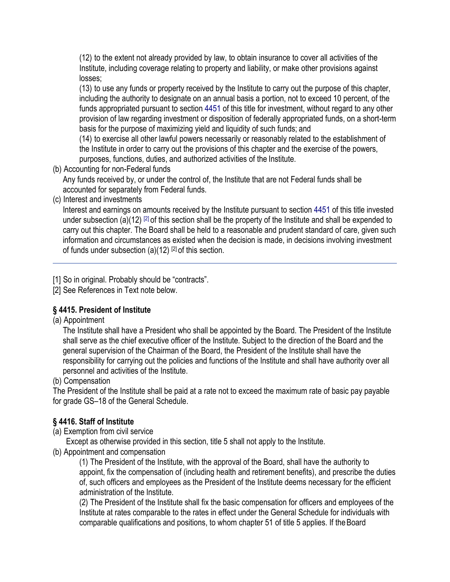(12) to the extent not already provided by law, to obtain insurance to cover all activities of the Institute, including coverage relating to property and liability, or make other provisions against losses;

(13) to use any funds or property received by the Institute to carry out the purpose of this chapter, including the authority to designate on an annual basis a portion, not to exceed 10 percent, of the funds appropriated pursuant to section [4451 o](http://www.law.cornell.edu/uscode/html/uscode20/usc_sec_20_00004451----000-.html)f this title for investment, without regard to any other provision of law regarding investment or disposition of federally appropriated funds, on a short-term basis for the purpose of maximizing yield and liquidity of such funds; and

(14) to exercise all other lawful powers necessarily or reasonably related to the establishment of the Institute in order to carry out the provisions of this chapter and the exercise of the powers, purposes, functions, duties, and authorized activities of the Institute.

(b) Accounting for non-Federal funds

Any funds received by, or under the control of, the Institute that are not Federal funds shall be accounted for separately from Federal funds.

(c) Interest and investments

Interest and earnings on amounts received by the Institute pursuant to section [4451 o](http://www.law.cornell.edu/uscode/html/uscode20/usc_sec_20_00004451----000-.html)f this title invested under subsection (a)(12)  $[2]$  of this section shall be the property of the Institute and shall be expended to carry out this chapter. The Board shall be held to a reasonable and prudent standard of care, given such information and circumstances as existed when the decision is made, in decisions involving investment of funds under subsection  $(a)(12)$   $[2]$  of this section.

[1] So in original. Probably should be "contracts".

[2] See References in Text note below.

### **§ 4415. President of Institute**

(a) Appointment

The Institute shall have a President who shall be appointed by the Board. The President of the Institute shall serve as the chief executive officer of the Institute. Subject to the direction of the Board and the general supervision of the Chairman of the Board, the President of the Institute shall have the responsibility for carrying out the policies and functions of the Institute and shall have authority over all personnel and activities of the Institute.

(b) Compensation

The President of the Institute shall be paid at a rate not to exceed the maximum rate of basic pay payable for grade GS–18 of the General Schedule.

## **§ 4416. Staff of Institute**

(a) Exemption from civil service

Except as otherwise provided in this section, title 5 shall not apply to the Institute.

(b) Appointment and compensation

(1) The President of the Institute, with the approval of the Board, shall have the authority to appoint, fix the compensation of (including health and retirement benefits), and prescribe the duties of, such officers and employees as the President of the Institute deems necessary for the efficient administration of the Institute.

(2) The President of the Institute shall fix the basic compensation for officers and employees of the Institute at rates comparable to the rates in effect under the General Schedule for individuals with comparable qualifications and positions, to whom chapte[r 51 o](http://www.law.cornell.edu/uscode/html/uscode05/usc_sup_01_5_10_III_20_D_30_51.html)f title [5 a](http://www.law.cornell.edu/uscode/html/uscode05/usc_sup_01_5.html)pplies. If theBoard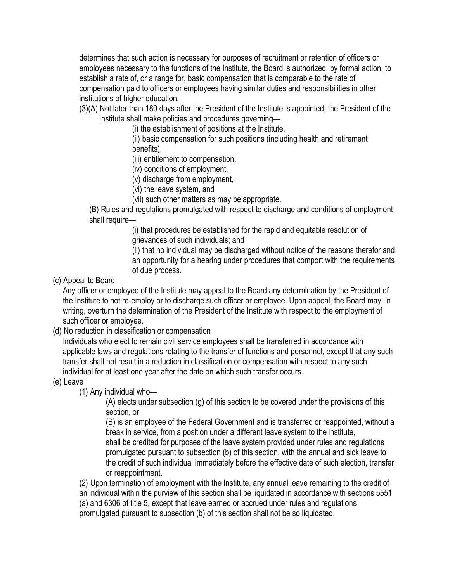determines that such action is necessary for purposes of recruitment or retention of officers or employees necessary to the functions of the Institute, the Board is authorized, by formal action, to establish a rate of, or a range for, basic compensation that is comparable to the rate of compensation paid to officers or employees having similar duties and responsibilities in other institutions of higher education.

(3)(A) Not later than 180 days after the President of the Institute is appointed, the President of the Institute shall make policies and procedures governing—

(i) the establishment of positions at the Institute,

(ii) basic compensation for such positions (including health and retirement benefits),

(iii) entitlement to compensation,

(iv) conditions of employment,

(v) discharge from employment,

(vi) the leave system, and

(vii) such other matters as may be appropriate.

(B) Rules and regulations promulgated with respect to discharge and conditions of employment shall require—

(i) that procedures be established for the rapid and equitable resolution of grievances of such individuals; and

(ii) that no individual may be discharged without notice of the reasons therefor and an opportunity for a hearing under procedures that comport with the requirements of due process.

(c) Appeal to Board

Any officer or employee of the Institute may appeal to the Board any determination by the President of the Institute to not re-employ or to discharge such officer or employee. Upon appeal, the Board may, in writing, overturn the determination of the President of the Institute with respect to the employment of such officer or employee.

(d) No reduction in classification or compensation

Individuals who elect to remain civil service employees shall be transferred in accordance with applicable laws and regulations relating to the transfer of functions and personnel, except that any such transfer shall not result in a reduction in classification or compensation with respect to any such individual for at least one year after the date on which such transfer occurs.

(e) Leave

(1) Any individual who—

(A) elects under subsection (g) of this section to be covered under the provisions of this section, or

(B) is an employee of the Federal Government and is transferred or reappointed, without a break in service, from a position under a different leave system to the Institute, shall be credited for purposes of the leave system provided under rules and regulations promulgated pursuant to subsection (b) of this section, with the annual and sick leave to the credit of such individual immediately before the effective date of such election, transfer, or reappointment.

(2) Upon termination of employment with the Institute, any annual leave remaining to the credit of an individual within the purview of this section shall be liquidated in accordance with sections [5551](http://www.law.cornell.edu/uscode/html/uscode05/usc_sec_05_00005551----000-.html) [\(a\) a](http://www.law.cornell.edu/uscode/html/uscode05/usc_sec_05_00005551----000-.html#a)nd [6306 o](http://www.law.cornell.edu/uscode/html/uscode05/usc_sec_05_00006306----000-.html)f title [5, e](http://www.law.cornell.edu/uscode/html/uscode05/usc_sup_01_5.html)xcept that leave earned or accrued under rules and regulations promulgated pursuant to subsection (b) of this section shall not be so liquidated.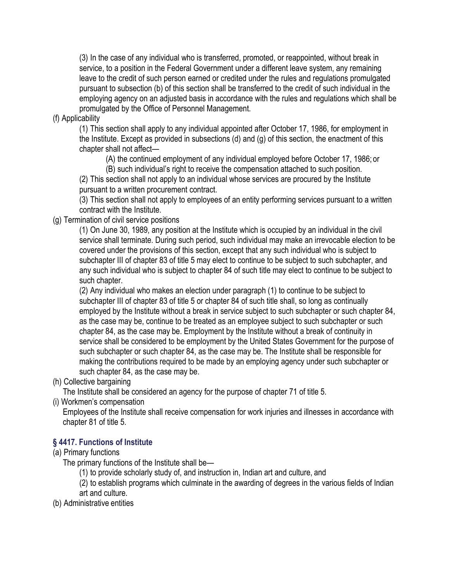(3) In the case of any individual who is transferred, promoted, or reappointed, without break in service, to a position in the Federal Government under a different leave system, any remaining leave to the credit of such person earned or credited under the rules and regulations promulgated pursuant to subsection (b) of this section shall be transferred to the credit of such individual in the employing agency on an adjusted basis in accordance with the rules and regulations which shall be promulgated by the Office of Personnel Management.

(f) Applicability

(1) This section shall apply to any individual appointed after October 17, 1986, for employment in the Institute. Except as provided in subsections (d) and (g) of this section, the enactment of this chapter shall not affect—

(A) the continued employment of any individual employed before October 17, 1986; or

(B) such individual's right to receive the compensation attached to such position.

(2) This section shall not apply to an individual whose services are procured by the Institute pursuant to a written procurement contract.

(3) This section shall not apply to employees of an entity performing services pursuant to a written contract with the Institute.

(g) Termination of civil service positions

(1) On June 30, 1989, any position at the Institute which is occupied by an individual in the civil service shall terminate. During such period, such individual may make an irrevocable election to be covered under the provisions of this section, except that any such individual who is subject to subchapter [III o](http://www.law.cornell.edu/uscode/html/uscode05/usc_sup_01_5_10_III_20_G_30_83_40_III.html)f chapter [83 o](http://www.law.cornell.edu/uscode/html/uscode05/usc_sup_01_5_10_III_20_G_30_83.html)f title [5 m](http://www.law.cornell.edu/uscode/html/uscode05/usc_sup_01_5.html)ay elect to continue to be subject to such subchapter, and any such individual who is subject to chapter 84 of such title may elect to continue to be subject to such chapter.

(2) Any individual who makes an election under paragraph (1) to continue to be subject to subchapter [III o](http://www.law.cornell.edu/uscode/html/uscode05/usc_sup_01_5_10_III_20_G_30_83_40_III.html)f chapter [83 o](http://www.law.cornell.edu/uscode/html/uscode05/usc_sup_01_5_10_III_20_G_30_83.html)f title [5 o](http://www.law.cornell.edu/uscode/html/uscode05/usc_sup_01_5.html)r chapter 84 of such title shall, so long as continually employed by the Institute without a break in service subject to such subchapter or such chapter 84, as the case may be, continue to be treated as an employee subject to such subchapter or such chapter 84, as the case may be. Employment by the Institute without a break of continuity in service shall be considered to be employment by the United States Government for the purpose of such subchapter or such chapter 84, as the case may be. The Institute shall be responsible for making the contributions required to be made by an employing agency under such subchapter or such chapter 84, as the case may be.

(h) Collective bargaining

The Institute shall be considered an agency for the purpose of chapter [71 o](http://www.law.cornell.edu/uscode/html/uscode05/usc_sup_01_5_10_III_20_F_30_71.html)f title [5.](http://www.law.cornell.edu/uscode/html/uscode05/usc_sup_01_5.html)

(i) Workmen's compensation

Employees of the Institute shall receive compensation for work injuries and illnesses in accordance with chapter [81 o](http://www.law.cornell.edu/uscode/html/uscode05/usc_sup_01_5_10_III_20_G_30_81.html)f title [5.](http://www.law.cornell.edu/uscode/html/uscode05/usc_sup_01_5.html)

## **§ 4417. Functions of Institute**

### (a) Primary functions

The primary functions of the Institute shall be—

(1) to provide scholarly study of, and instruction in, Indian art and culture, and

(2) to establish programs which culminate in the awarding of degrees in the various fields of Indian art and culture.

(b) Administrative entities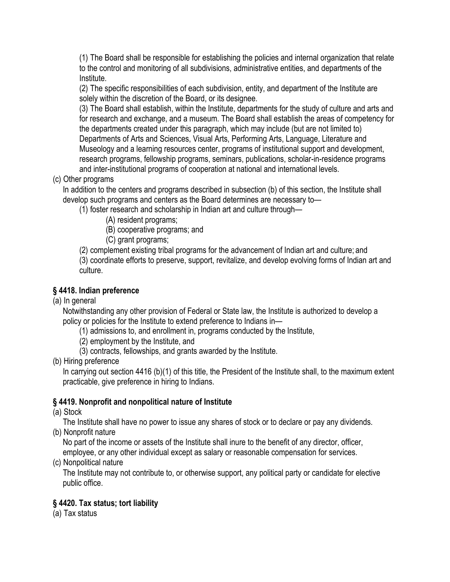(1) The Board shall be responsible for establishing the policies and internal organization that relate to the control and monitoring of all subdivisions, administrative entities, and departments of the Institute.

(2) The specific responsibilities of each subdivision, entity, and department of the Institute are solely within the discretion of the Board, or its designee.

(3) The Board shall establish, within the Institute, departments for the study of culture and arts and for research and exchange, and a museum. The Board shall establish the areas of competency for the departments created under this paragraph, which may include (but are not limited to) Departments of Arts and Sciences, Visual Arts, Performing Arts, Language, Literature and Museology and a learning resources center, programs of institutional support and development, research programs, fellowship programs, seminars, publications, scholar-in-residence programs and inter-institutional programs of cooperation at national and international levels.

(c) Other programs

In addition to the centers and programs described in subsection (b) of this section, the Institute shall develop such programs and centers as the Board determines are necessary to—

(1) foster research and scholarship in Indian art and culture through—

(A) resident programs;

(B) cooperative programs; and

(C) grant programs;

(2) complement existing tribal programs for the advancement of Indian art and culture; and

(3) coordinate efforts to preserve, support, revitalize, and develop evolving forms of Indian art and culture.

# **§ 4418. Indian preference**

(a) In general

Notwithstanding any other provision of Federal or State law, the Institute is authorized to develop a policy or policies for the Institute to extend preference to Indians in—

(1) admissions to, and enrollment in, programs conducted by the Institute,

- (2) employment by the Institute, and
- (3) contracts, fellowships, and grants awarded by the Institute.
- (b) Hiring preference

In carrying out section [4416](http://www.law.cornell.edu/uscode/html/uscode20/usc_sec_20_00004416----000-.html) [\(b\)\(1\) o](http://www.law.cornell.edu/uscode/html/uscode20/usc_sec_20_00004416----000-.html#b_1)f this title, the President of the Institute shall, to the maximum extent practicable, give preference in hiring to Indians.

## **§ 4419. Nonprofit and nonpolitical nature of Institute**

(a) Stock

The Institute shall have no power to issue any shares of stock or to declare or pay any dividends.

(b) Nonprofit nature

No part of the income or assets of the Institute shall inure to the benefit of any director, officer, employee, or any other individual except as salary or reasonable compensation for services.

(c) Nonpolitical nature

The Institute may not contribute to, or otherwise support, any political party or candidate for elective public office.

## **§ 4420. Tax status; tort liability**

(a) Tax status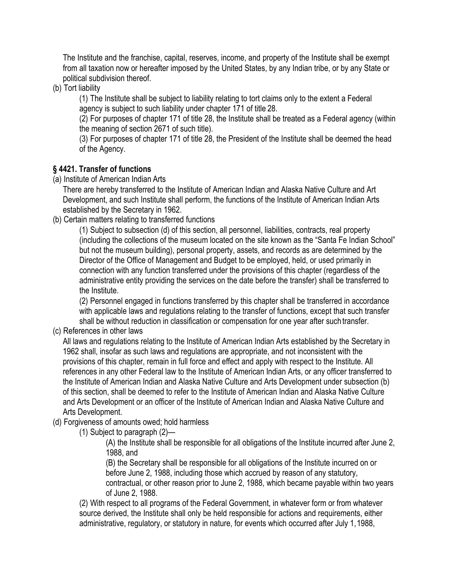The Institute and the franchise, capital, reserves, income, and property of the Institute shall be exempt from all taxation now or hereafter imposed by the United States, by any Indian tribe, or by any State or political subdivision thereof.

(b) Tort liability

(1) The Institute shall be subject to liability relating to tort claims only to the extent a Federal agency is subject to such liability under chapter [171 o](http://www.law.cornell.edu/uscode/html/uscode28/usc_sup_01_28_10_VI_20_171.html)f title [28.](http://www.law.cornell.edu/uscode/html/uscode28/usc_sup_01_28.html)

(2) For purposes of chapter [171 o](http://www.law.cornell.edu/uscode/html/uscode28/usc_sup_01_28_10_VI_20_171.html)f title [28, t](http://www.law.cornell.edu/uscode/html/uscode28/usc_sup_01_28.html)he Institute shall be treated as a Federal agency (within the meaning of section 2671 of such title).

(3) For purposes of chapter [171 o](http://www.law.cornell.edu/uscode/html/uscode28/usc_sup_01_28_10_VI_20_171.html)f title [28, t](http://www.law.cornell.edu/uscode/html/uscode28/usc_sup_01_28.html)he President of the Institute shall be deemed the head of the Agency.

## **§ 4421. Transfer of functions**

(a) Institute of American Indian Arts

There are hereby transferred to the Institute of American Indian and Alaska Native Culture and Art Development, and such Institute shall perform, the functions of the Institute of American Indian Arts established by the Secretary in 1962.

(b) Certain matters relating to transferred functions

(1) Subject to subsection (d) of this section, all personnel, liabilities, contracts, real property (including the collections of the museum located on the site known as the "Santa Fe Indian School" but not the museum building), personal property, assets, and records as are determined by the Director of the Office of Management and Budget to be employed, held, or used primarily in connection with any function transferred under the provisions of this chapter (regardless of the administrative entity providing the services on the date before the transfer) shall be transferred to the Institute.

(2) Personnel engaged in functions transferred by this chapter shall be transferred in accordance with applicable laws and regulations relating to the transfer of functions, except that such transfer shall be without reduction in classification or compensation for one year after such transfer.

(c) References in other laws

All laws and regulations relating to the Institute of American Indian Arts established by the Secretary in 1962 shall, insofar as such laws and regulations are appropriate, and not inconsistent with the provisions of this chapter, remain in full force and effect and apply with respect to the Institute. All references in any other Federal law to the Institute of American Indian Arts, or any officer transferred to the Institute of American Indian and Alaska Native Culture and Arts Development under subsection (b) of this section, shall be deemed to refer to the Institute of American Indian and Alaska Native Culture and Arts Development or an officer of the Institute of American Indian and Alaska Native Culture and Arts Development.

(d) Forgiveness of amounts owed; hold harmless

(1) Subject to paragraph (2)—

(A) the Institute shall be responsible for all obligations of the Institute incurred after June 2, 1988, and

(B) the Secretary shall be responsible for all obligations of the Institute incurred on or before June 2, 1988, including those which accrued by reason of any statutory, contractual, or other reason prior to June 2, 1988, which became payable within two years of June 2, 1988.

(2) With respect to all programs of the Federal Government, in whatever form or from whatever source derived, the Institute shall only be held responsible for actions and requirements, either administrative, regulatory, or statutory in nature, for events which occurred after July 1,1988,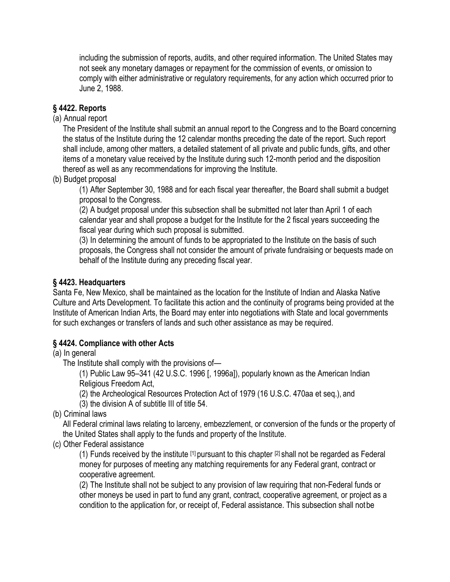including the submission of reports, audits, and other required information. The United States may not seek any monetary damages or repayment for the commission of events, or omission to comply with either administrative or regulatory requirements, for any action which occurred prior to June 2, 1988.

### **§ 4422. Reports**

### (a) Annual report

The President of the Institute shall submit an annual report to the Congress and to the Board concerning the status of the Institute during the 12 calendar months preceding the date of the report. Such report shall include, among other matters, a detailed statement of all private and public funds, gifts, and other items of a monetary value received by the Institute during such 12-month period and the disposition thereof as well as any recommendations for improving the Institute.

(b) Budget proposal

(1) After September 30, 1988 and for each fiscal year thereafter, the Board shall submit a budget proposal to the Congress.

(2) A budget proposal under this subsection shall be submitted not later than April 1 of each calendar year and shall propose a budget for the Institute for the 2 fiscal years succeeding the fiscal year during which such proposal is submitted.

(3) In determining the amount of funds to be appropriated to the Institute on the basis of such proposals, the Congress shall not consider the amount of private fundraising or bequests made on behalf of the Institute during any preceding fiscal year.

#### **§ 4423. Headquarters**

Santa Fe, New Mexico, shall be maintained as the location for the Institute of Indian and Alaska Native Culture and Arts Development. To facilitate this action and the continuity of programs being provided at the Institute of American Indian Arts, the Board may enter into negotiations with State and local governments for such exchanges or transfers of lands and such other assistance as may be required.

### **§ 4424. Compliance with other Acts**

(a) In general

The Institute shall comply with the provisions of—

(1) Public Law 95–341 [\(42 U](http://www.law.cornell.edu/uscode/html/uscode42/usc_sup_01_42.html).S.C. [1996 \[](http://www.law.cornell.edu/uscode/html/uscode42/usc_sec_42_00001996----000-.html), 1996a]), popularly known as the American Indian Religious Freedom Act,

(2) the Archeological Resources Protection Act of 1979 [\(16 U](http://www.law.cornell.edu/uscode/html/uscode16/usc_sup_01_16.html).S.C. [470aa e](http://www.law.cornell.edu/uscode/html/uscode16/usc_sec_16_00000470--aa000-.html)t seq.), and

(3) the division A of subtitle III of title 54.

(b) Criminal laws

All Federal criminal laws relating to larceny, embezzlement, or conversion of the funds or the property of the United States shall apply to the funds and property of the Institute.

(c) Other Federal assistance

(1) Funds received by the institute  $[1]$  pursuant to this chapter  $[2]$  shall not be regarded as Federal money for purposes of meeting any matching requirements for any Federal grant, contract or cooperative agreement.

(2) The Institute shall not be subject to any provision of law requiring that non-Federal funds or other moneys be used in part to fund any grant, contract, cooperative agreement, or project as a condition to the application for, or receipt of, Federal assistance. This subsection shall notbe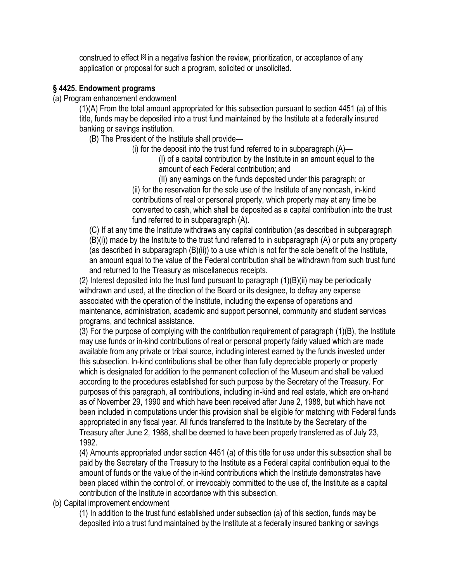construed to effect [\[3\]](http://www.law.cornell.edu/uscode/html/uscode20/usc_sec_20_00004424----000-.html#FN-3) in a negative fashion the review, prioritization, or acceptance of any application or proposal for such a program, solicited or unsolicited.

#### **§ 4425. Endowment programs**

(a) Program enhancement endowment

(1)(A) From the total amount appropriated for this subsection pursuant to section [4451](http://www.law.cornell.edu/uscode/html/uscode20/usc_sec_20_00004451----000-.html) [\(a\) o](http://www.law.cornell.edu/uscode/html/uscode20/usc_sec_20_00004451----000-.html#a)f this title, funds may be deposited into a trust fund maintained by the Institute at a federally insured banking or savings institution.

(B) The President of the Institute shall provide—

(i) for the deposit into the trust fund referred to in subparagraph  $(A)$ —

(I) of a capital contribution by the Institute in an amount equal to the amount of each Federal contribution; and

(II) any earnings on the funds deposited under this paragraph; or (ii) for the reservation for the sole use of the Institute of any noncash, in-kind contributions of real or personal property, which property may at any time be converted to cash, which shall be deposited as a capital contribution into the trust fund referred to in subparagraph (A).

(C) If at any time the Institute withdraws any capital contribution (as described in subparagraph (B)(i)) made by the Institute to the trust fund referred to in subparagraph (A) or puts any property (as described in subparagraph (B)(ii)) to a use which is not for the sole benefit of the Institute, an amount equal to the value of the Federal contribution shall be withdrawn from such trust fund and returned to the Treasury as miscellaneous receipts.

(2) Interest deposited into the trust fund pursuant to paragraph (1)(B)(ii) may be periodically withdrawn and used, at the direction of the Board or its designee, to defray any expense associated with the operation of the Institute, including the expense of operations and maintenance, administration, academic and support personnel, community and student services programs, and technical assistance.

(3) For the purpose of complying with the contribution requirement of paragraph (1)(B), the Institute may use funds or in-kind contributions of real or personal property fairly valued which are made available from any private or tribal source, including interest earned by the funds invested under this subsection. In-kind contributions shall be other than fully depreciable property or property which is designated for addition to the permanent collection of the Museum and shall be valued according to the procedures established for such purpose by the Secretary of the Treasury. For purposes of this paragraph, all contributions, including in-kind and real estate, which are on-hand as of November 29, 1990 and which have been received after June 2, 1988, but which have not been included in computations under this provision shall be eligible for matching with Federal funds appropriated in any fiscal year. All funds transferred to the Institute by the Secretary of the Treasury after June 2, 1988, shall be deemed to have been properly transferred as of July 23, 1992.

(4) Amounts appropriated under section [4451](http://www.law.cornell.edu/uscode/html/uscode20/usc_sec_20_00004451----000-.html) [\(a\) o](http://www.law.cornell.edu/uscode/html/uscode20/usc_sec_20_00004451----000-.html#a)f this title for use under this subsection shall be paid by the Secretary of the Treasury to the Institute as a Federal capital contribution equal to the amount of funds or the value of the in-kind contributions which the Institute demonstrates have been placed within the control of, or irrevocably committed to the use of, the Institute as a capital contribution of the Institute in accordance with this subsection.

(b) Capital improvement endowment

(1) In addition to the trust fund established under subsection (a) of this section, funds may be deposited into a trust fund maintained by the Institute at a federally insured banking or savings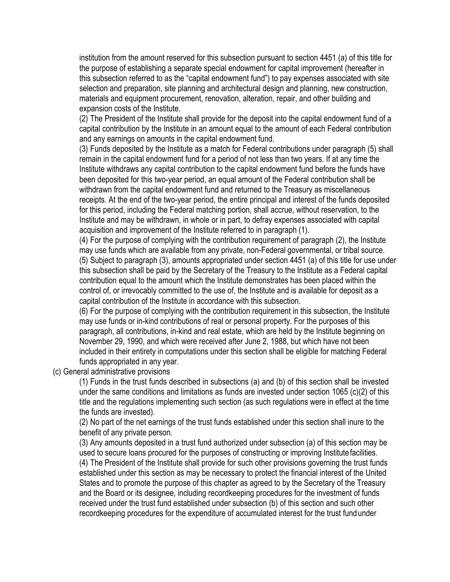institution from the amount reserved for this subsection pursuant to section [4451](http://www.law.cornell.edu/uscode/html/uscode20/usc_sec_20_00004451----000-.html) [\(a\) o](http://www.law.cornell.edu/uscode/html/uscode20/usc_sec_20_00004451----000-.html#a)f this title for the purpose of establishing a separate special endowment for capital improvement (hereafter in this subsection referred to as the "capital endowment fund") to pay expenses associated with site selection and preparation, site planning and architectural design and planning, new construction, materials and equipment procurement, renovation, alteration, repair, and other building and expansion costs of the Institute.

(2) The President of the Institute shall provide for the deposit into the capital endowment fund of a capital contribution by the Institute in an amount equal to the amount of each Federal contribution and any earnings on amounts in the capital endowment fund.

(3) Funds deposited by the Institute as a match for Federal contributions under paragraph (5) shall remain in the capital endowment fund for a period of not less than two years. If at any time the Institute withdraws any capital contribution to the capital endowment fund before the funds have been deposited for this two-year period, an equal amount of the Federal contribution shall be withdrawn from the capital endowment fund and returned to the Treasury as miscellaneous receipts. At the end of the two-year period, the entire principal and interest of the funds deposited for this period, including the Federal matching portion, shall accrue, without reservation, to the Institute and may be withdrawn, in whole or in part, to defray expenses associated with capital acquisition and improvement of the Institute referred to in paragraph (1).

(4) For the purpose of complying with the contribution requirement of paragraph (2), the Institute may use funds which are available from any private, non-Federal governmental, or tribal source. (5) Subject to paragraph (3), amounts appropriated under section [4451](http://www.law.cornell.edu/uscode/html/uscode20/usc_sec_20_00004451----000-.html) [\(a\) o](http://www.law.cornell.edu/uscode/html/uscode20/usc_sec_20_00004451----000-.html#a)f this title for use under this subsection shall be paid by the Secretary of the Treasury to the Institute as a Federal capital contribution equal to the amount which the Institute demonstrates has been placed within the control of, or irrevocably committed to the use of, the Institute and is available for deposit as a capital contribution of the Institute in accordance with this subsection.

(6) For the purpose of complying with the contribution requirement in this subsection, the Institute may use funds or in-kind contributions of real or personal property. For the purposes of this paragraph, all contributions, in-kind and real estate, which are held by the Institute beginning on November 29, 1990, and which were received after June 2, 1988, but which have not been included in their entirety in computations under this section shall be eligible for matching Federal funds appropriated in any year.

(c) General administrative provisions

(1) Funds in the trust funds described in subsections (a) and (b) of this section shall be invested under the same conditions and limitations as funds are invested under section [1065](http://www.law.cornell.edu/uscode/html/uscode20/usc_sec_20_00001065----000-.html) [\(c\)\(2\) o](http://www.law.cornell.edu/uscode/html/uscode20/usc_sec_20_00001065----000-.html#c_2)f this title and the regulations implementing such section (as such regulations were in effect at the time the funds are invested).

(2) No part of the net earnings of the trust funds established under this section shall inure to the benefit of any private person.

(3) Any amounts deposited in a trust fund authorized under subsection (a) of this section may be used to secure loans procured for the purposes of constructing or improving Institutefacilities. (4) The President of the Institute shall provide for such other provisions governing the trust funds established under this section as may be necessary to protect the financial interest of the United States and to promote the purpose of this chapter as agreed to by the Secretary of the Treasury and the Board or its designee, including recordkeeping procedures for the investment of funds received under the trust fund established under subsection (b) of this section and such other recordkeeping procedures for the expenditure of accumulated interest for the trust fundunder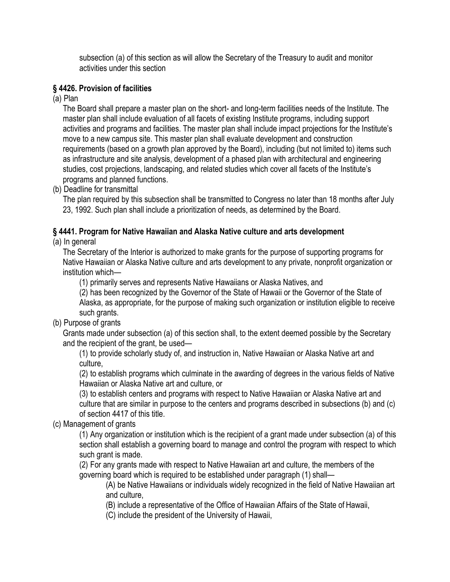subsection (a) of this section as will allow the Secretary of the Treasury to audit and monitor activities under this section

### **§ 4426. Provision of facilities**

(a) Plan

The Board shall prepare a master plan on the short- and long-term facilities needs of the Institute. The master plan shall include evaluation of all facets of existing Institute programs, including support activities and programs and facilities. The master plan shall include impact projections for the Institute's move to a new campus site. This master plan shall evaluate development and construction requirements (based on a growth plan approved by the Board), including (but not limited to) items such as infrastructure and site analysis, development of a phased plan with architectural and engineering studies, cost projections, landscaping, and related studies which cover all facets of the Institute's programs and planned functions.

(b) Deadline for transmittal

The plan required by this subsection shall be transmitted to Congress no later than 18 months after July 23, 1992. Such plan shall include a prioritization of needs, as determined by the Board.

#### **§ 4441. Program for Native Hawaiian and Alaska Native culture and arts development** (a) In general

The Secretary of the Interior is authorized to make grants for the purpose of supporting programs for Native Hawaiian or Alaska Native culture and arts development to any private, nonprofit organization or institution which—

(1) primarily serves and represents Native Hawaiians or Alaska Natives, and

(2) has been recognized by the Governor of the State of Hawaii or the Governor of the State of Alaska, as appropriate, for the purpose of making such organization or institution eligible to receive such grants.

(b) Purpose of grants

Grants made under subsection (a) of this section shall, to the extent deemed possible by the Secretary and the recipient of the grant, be used—

(1) to provide scholarly study of, and instruction in, Native Hawaiian or Alaska Native art and culture,

(2) to establish programs which culminate in the awarding of degrees in the various fields of Native Hawaiian or Alaska Native art and culture, or

(3) to establish centers and programs with respect to Native Hawaiian or Alaska Native art and culture that are similar in purpose to the centers and programs described in subsections (b) and (c) of section [4417 o](http://www.law.cornell.edu/uscode/html/uscode20/usc_sec_20_00004417----000-.html)f this title.

(c) Management of grants

(1) Any organization or institution which is the recipient of a grant made under subsection (a) of this section shall establish a governing board to manage and control the program with respect to which such grant is made.

(2) For any grants made with respect to Native Hawaiian art and culture, the members of the governing board which is required to be established under paragraph (1) shall—

(A) be Native Hawaiians or individuals widely recognized in the field of Native Hawaiian art and culture,

(B) include a representative of the Office of Hawaiian Affairs of the State of Hawaii,

(C) include the president of the University of Hawaii,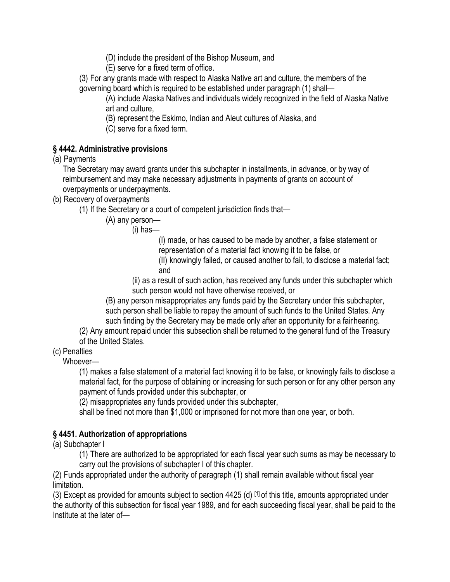(D) include the president of the Bishop Museum, and

(E) serve for a fixed term of office.

(3) For any grants made with respect to Alaska Native art and culture, the members of the governing board which is required to be established under paragraph (1) shall—

(A) include Alaska Natives and individuals widely recognized in the field of Alaska Native art and culture,

(B) represent the Eskimo, Indian and Aleut cultures of Alaska, and

(C) serve for a fixed term.

## **§ 4442. Administrative provisions**

(a) Payments

The Secretary may award grants under this subchapter in installments, in advance, or by way of reimbursement and may make necessary adjustments in payments of grants on account of overpayments or underpayments.

(b) Recovery of overpayments

(1) If the Secretary or a court of competent jurisdiction finds that—

(A) any person—

(i) has—

(I) made, or has caused to be made by another, a false statement or representation of a material fact knowing it to be false, or

(II) knowingly failed, or caused another to fail, to disclose a material fact; and

(ii) as a result of such action, has received any funds under this subchapter which such person would not have otherwise received, or

(B) any person misappropriates any funds paid by the Secretary under this subchapter, such person shall be liable to repay the amount of such funds to the United States. Any such finding by the Secretary may be made only after an opportunity for a fairhearing.

(2) Any amount repaid under this subsection shall be returned to the general fund of the Treasury of the United States.

(c) Penalties

Whoever—

(1) makes a false statement of a material fact knowing it to be false, or knowingly fails to disclose a material fact, for the purpose of obtaining or increasing for such person or for any other person any payment of funds provided under this subchapter, or

(2) misappropriates any funds provided under this subchapter,

shall be fined not more than \$1,000 or imprisoned for not more than one year, or both.

## **§ 4451. Authorization of appropriations**

(a) Subchapter I

(1) There are authorized to be appropriated for each fiscal year such sums as may be necessary to carry out the provisions of subchapter I of this chapter.

(2) Funds appropriated under the authority of paragraph (1) shall remain available without fiscal year limitation.

(3) Except as provided for amounts subject to section [4425](http://www.law.cornell.edu/uscode/html/uscode20/usc_sec_20_00004425----000-.html) [\(d\)](http://www.law.cornell.edu/uscode/html/uscode20/usc_sec_20_00004425----000-.html#d) [\[1\]](http://www.law.cornell.edu/uscode/html/uscode20/usc_sec_20_00004451----000-.html#FN-1) of this title, amounts appropriated under the authority of this subsection for fiscal year 1989, and for each succeeding fiscal year, shall be paid to the Institute at the later of